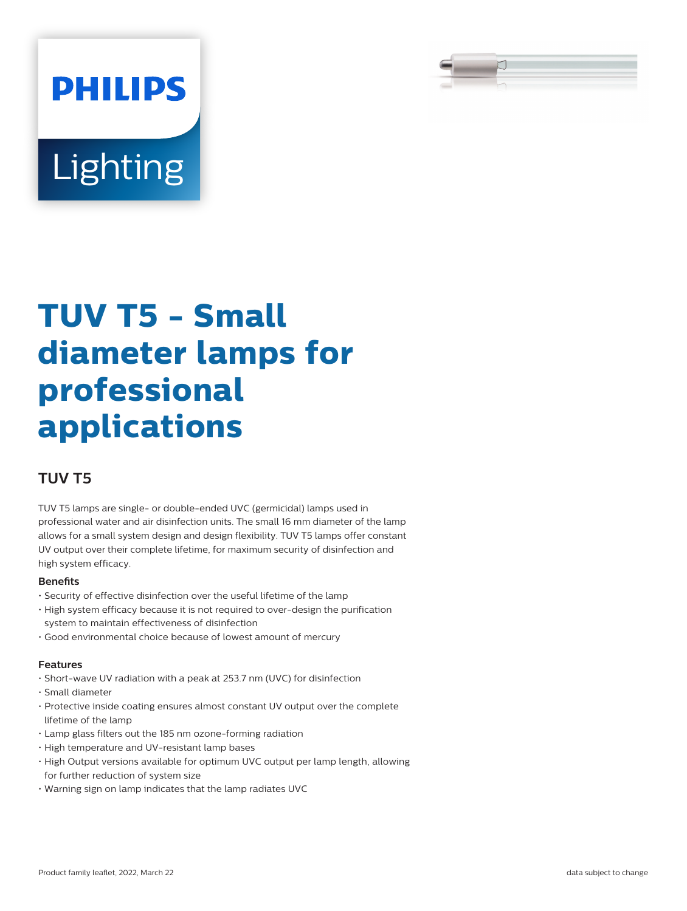

# **PHILIPS Lighting**

## **TUV T5 - Small diameter lamps for professional applications**

### **TUV T5**

TUV T5 lamps are single- or double-ended UVC (germicidal) lamps used in professional water and air disinfection units. The small 16 mm diameter of the lamp allows for a small system design and design flexibility. TUV T5 lamps offer constant UV output over their complete lifetime, for maximum security of disinfection and high system efficacy.

#### **Benets**

- Security of effective disinfection over the useful lifetime of the lamp
- High system efficacy because it is not required to over-design the purification system to maintain effectiveness of disinfection
- Good environmental choice because of lowest amount of mercury

#### **Features**

- Short-wave UV radiation with a peak at 253.7 nm (UVC) for disinfection
- Small diameter
- Protective inside coating ensures almost constant UV output over the complete lifetime of the lamp
- Lamp glass filters out the 185 nm ozone-forming radiation
- High temperature and UV-resistant lamp bases
- High Output versions available for optimum UVC output per lamp length, allowing for further reduction of system size
- Warning sign on lamp indicates that the lamp radiates UVC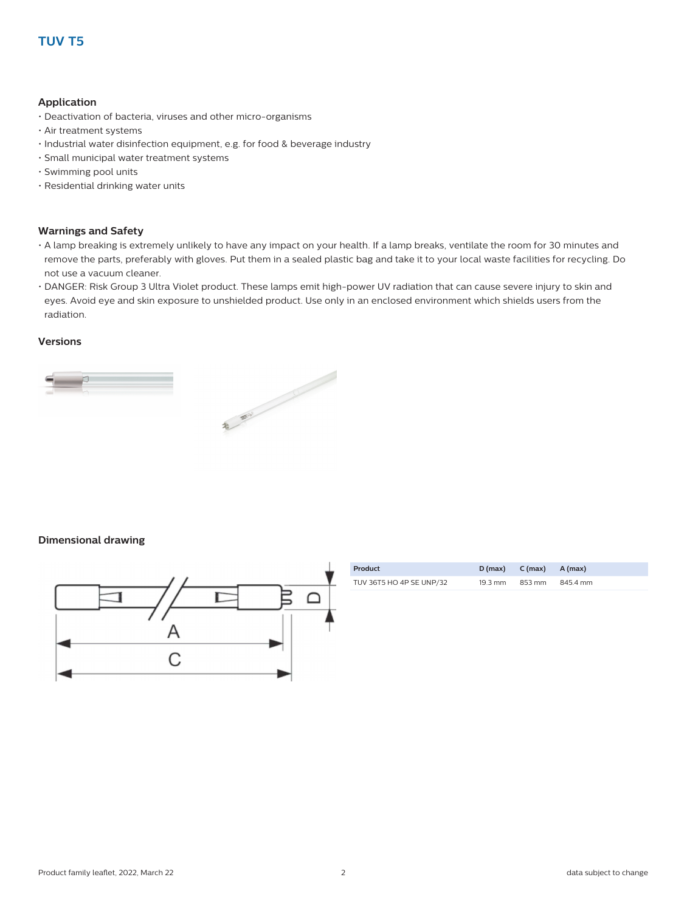#### **Application**

- Deactivation of bacteria, viruses and other micro-organisms
- Air treatment systems
- Industrial water disinfection equipment, e.g. for food & beverage industry
- Small municipal water treatment systems
- Swimming pool units
- Residential drinking water units

#### **Warnings and Safety**

- A lamp breaking is extremely unlikely to have any impact on your health. If a lamp breaks, ventilate the room for 30 minutes and remove the parts, preferably with gloves. Put them in a sealed plastic bag and take it to your local waste facilities for recycling. Do not use a vacuum cleaner.
- DANGER: Risk Group 3 Ultra Violet product. These lamps emit high-power UV radiation that can cause severe injury to skin and eyes. Avoid eye and skin exposure to unshielded product. Use only in an enclosed environment which shields users from the radiation.

#### **Versions**



#### **Dimensional drawing**



| Product                  | D (max)           | $C(max)$ $A(max)$ |          |
|--------------------------|-------------------|-------------------|----------|
| TUV 36T5 HO 4P SE UNP/32 | $19.3 \text{ mm}$ | 853 mm            | 845.4 mm |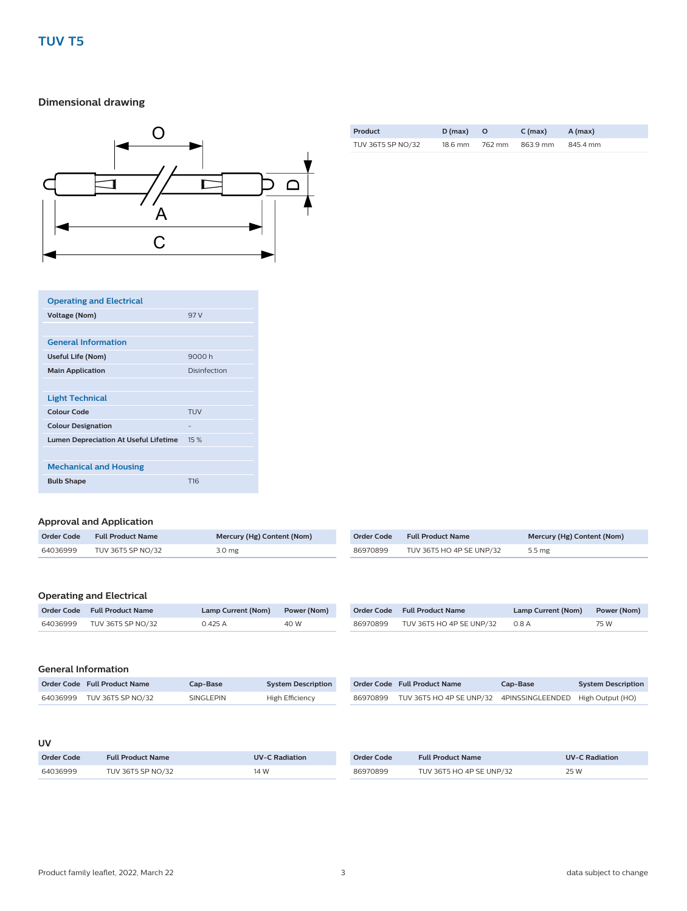#### **Dimensional drawing**



| Product           | D (max) |        | $C \, (max)$ | A (max)  |
|-------------------|---------|--------|--------------|----------|
| TUV 36T5 SP NO/32 | 18.6 mm | 762 mm | 863.9 mm     | 845.4 mm |

| <b>Operating and Electrical</b>              |                 |
|----------------------------------------------|-----------------|
| <b>Voltage (Nom)</b>                         | 97 V            |
|                                              |                 |
| <b>General Information</b>                   |                 |
| Useful Life (Nom)                            | 9000 h          |
| <b>Main Application</b>                      | Disinfection    |
|                                              |                 |
| <b>Light Technical</b>                       |                 |
| <b>Colour Code</b>                           | <b>TUV</b>      |
| <b>Colour Designation</b>                    | -               |
| <b>Lumen Depreciation At Useful Lifetime</b> | 15%             |
|                                              |                 |
| <b>Mechanical and Housing</b>                |                 |
| <b>Bulb Shape</b>                            | T <sub>16</sub> |

#### **Approval and Application**

| <b>Order Code</b> | <b>Full Product Name</b> | Mercury (Hg) Content (Nom) | <b>Order Code</b> | <b>Full Product Name</b> | Mercury (Hg) Content (Nom) |
|-------------------|--------------------------|----------------------------|-------------------|--------------------------|----------------------------|
| 64036999          | TUV 36T5 SP NO/32        | 3.0 <sub>mg</sub>          | 86970899          | TUV 36T5 HO 4P SE UNP/32 | 5.5 mg                     |
|                   |                          |                            |                   |                          |                            |

#### **Operating and Electrical**

|          | Order Code Full Product Name | Lamp Current (Nom) Power (Nom) |      |          | Order Code Full Product Name   | Lamp Current (Nom) Power (Nom) |      |
|----------|------------------------------|--------------------------------|------|----------|--------------------------------|--------------------------------|------|
| 64036999 | TUV 36T5 SP NO/32            | 0.425A                         | 40 W | 86970899 | TUV 36T5 HO 4P SE UNP/32 0.8 A |                                | 75 W |

| Order Code Full Product Name | Cap-Base I | <b>System Description</b> |          | Order Code Full Product Name                               | Cap-Base | <b>System Description</b> |
|------------------------------|------------|---------------------------|----------|------------------------------------------------------------|----------|---------------------------|
| 64036999 TUV 36T5 SP NO/32   | SINGLEPIN  | High Efficiency           | 86970899 | TUV 36T5 HO 4P SE UNP/32 4PINSSINGLEENDED High Output (HO) |          |                           |

#### **UV**

| Order Code | <b>Full Product Name</b> | <b>UV-C Radiation</b> | Order Code | <b>Full Product Name</b> | <b>UV-C Radiation</b> |
|------------|--------------------------|-----------------------|------------|--------------------------|-----------------------|
| 64036999   | TUV 36T5 SP NO/32        | 14 W                  | 86970899   | TUV 36T5 HO 4P SE UNP/32 | 25 W                  |